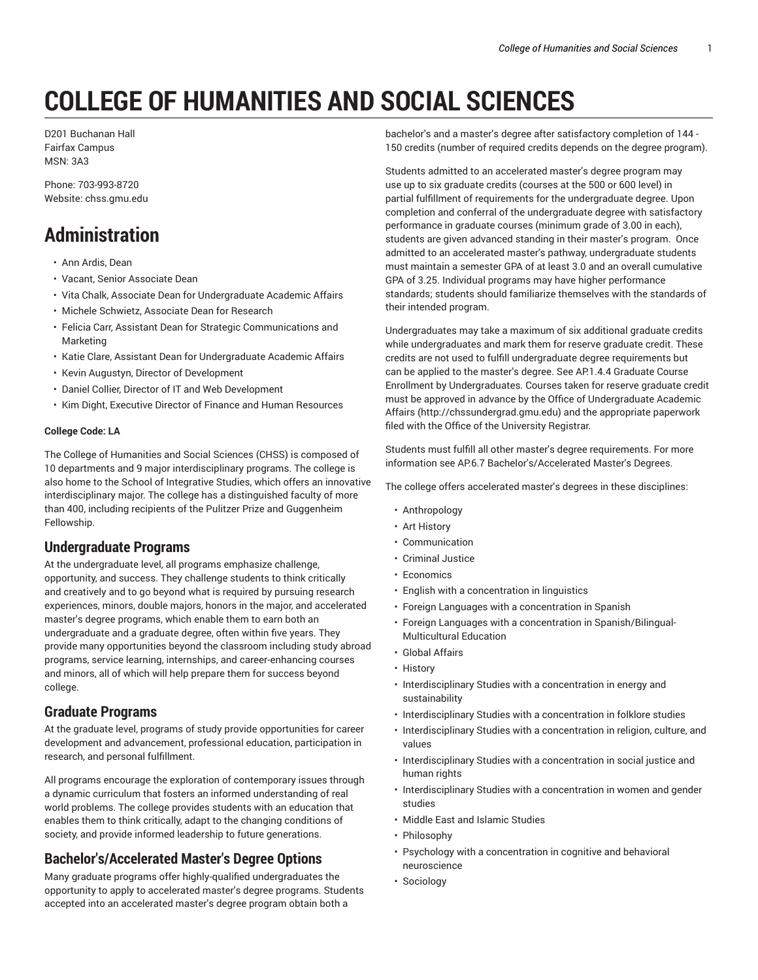# **COLLEGE OF HUMANITIES AND SOCIAL SCIENCES**

D201 Buchanan Hall Fairfax Campus MSN: 3A3

Phone: 703-993-8720 Website: chss.gmu.edu

# **Administration**

- Ann Ardis, Dean
- Vacant, Senior Associate Dean
- Vita Chalk, Associate Dean for Undergraduate Academic Affairs
- Michele Schwietz, Associate Dean for Research
- Felicia Carr, Assistant Dean for Strategic Communications and Marketing
- Katie Clare, Assistant Dean for Undergraduate Academic Affairs
- Kevin Augustyn, Director of Development
- Daniel Collier, Director of IT and Web Development
- Kim Dight, Executive Director of Finance and Human Resources

#### **College Code: LA**

The College of Humanities and Social Sciences (CHSS) is composed of 10 departments and 9 major interdisciplinary programs. The college is also home to the School of Integrative Studies, which offers an innovative interdisciplinary major. The college has a distinguished faculty of more than 400, including recipients of the Pulitzer Prize and Guggenheim Fellowship.

#### **Undergraduate Programs**

At the undergraduate level, all programs emphasize challenge, opportunity, and success. They challenge students to think critically and creatively and to go beyond what is required by pursuing research experiences, minors, double majors, honors in the major, and accelerated master's degree programs, which enable them to earn both an undergraduate and a graduate degree, often within five years. They provide many opportunities beyond the classroom including study abroad programs, service learning, internships, and career-enhancing courses and minors, all of which will help prepare them for success beyond college.

#### **Graduate Programs**

At the graduate level, programs of study provide opportunities for career development and advancement, professional education, participation in research, and personal fulfillment.

All programs encourage the exploration of contemporary issues through a dynamic curriculum that fosters an informed understanding of real world problems. The college provides students with an education that enables them to think critically, adapt to the changing conditions of society, and provide informed leadership to future generations.

#### **Bachelor's/Accelerated Master's Degree Options**

Many graduate programs offer highly-qualified undergraduates the opportunity to apply to accelerated master's degree programs. Students accepted into an accelerated master's degree program obtain both a

bachelor's and a master's degree after satisfactory completion of 144 - 150 credits (number of required credits depends on the degree program).

Students admitted to an accelerated master's degree program may use up to six graduate credits (courses at the 500 or 600 level) in partial fulfillment of requirements for the undergraduate degree. Upon completion and conferral of the undergraduate degree with satisfactory performance in graduate courses (minimum grade of 3.00 in each), students are given advanced standing in their master's program. Once admitted to an accelerated master's pathway, undergraduate students must maintain a semester GPA of at least 3.0 and an overall cumulative GPA of 3.25. Individual programs may have higher performance standards; students should familiarize themselves with the standards of their intended program.

Undergraduates may take a maximum of six additional graduate credits while undergraduates and mark them for reserve graduate credit. These credits are not used to fulfill undergraduate degree requirements but can be applied to the master's degree. See AP.1.4.4 Graduate Course Enrollment by Undergraduates. Courses taken for reserve graduate credit must be approved in advance by the Office of Undergraduate Academic Affairs (http://chssundergrad.gmu.edu) and the appropriate paperwork filed with the Office of the University Registrar.

Students must fulfill all other master's degree requirements. For more information see AP.6.7 Bachelor's/Accelerated Master's Degrees.

The college offers accelerated master's degrees in these disciplines:

- Anthropology
- Art History
- Communication
- Criminal Justice
- Economics
- English with a concentration in linguistics
- Foreign Languages with a concentration in Spanish
- Foreign Languages with a concentration in Spanish/Bilingual-Multicultural Education
- Global Affairs
- History
- Interdisciplinary Studies with a concentration in energy and sustainability
- Interdisciplinary Studies with a concentration in folklore studies
- Interdisciplinary Studies with a concentration in religion, culture, and values
- Interdisciplinary Studies with a concentration in social justice and human rights
- Interdisciplinary Studies with a concentration in women and gender studies
- Middle East and Islamic Studies
- Philosophy
- Psychology with a concentration in cognitive and behavioral neuroscience
- Sociology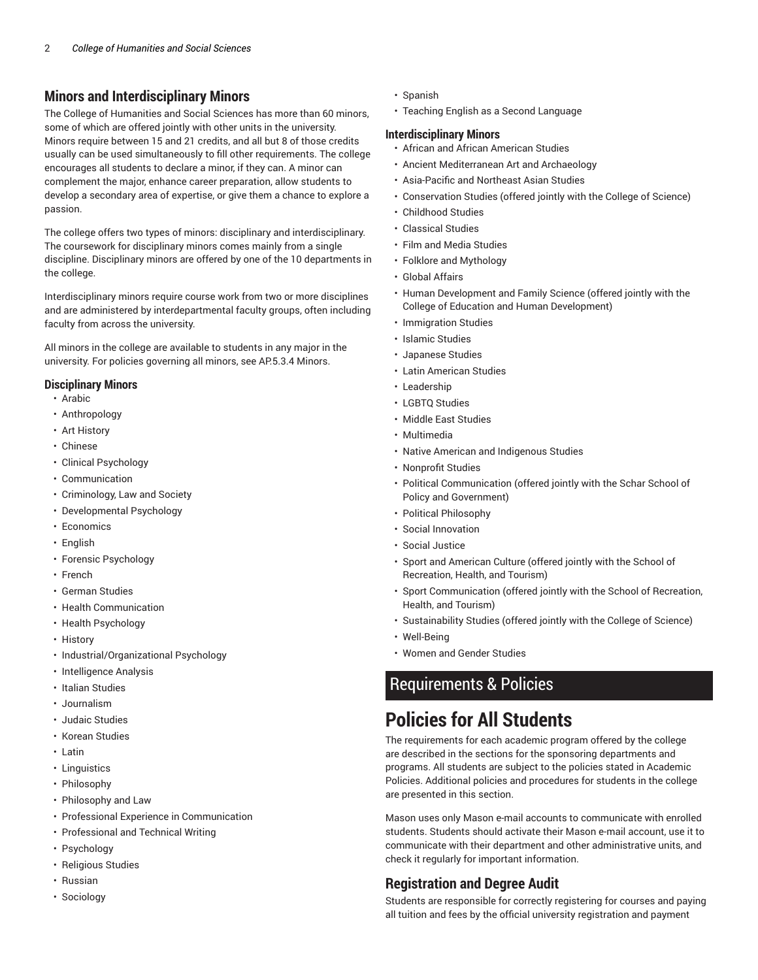#### **Minors and Interdisciplinary Minors**

The College of Humanities and Social Sciences has more than 60 minors, some of which are offered jointly with other units in the university. Minors require between 15 and 21 credits, and all but 8 of those credits usually can be used simultaneously to fill other requirements. The college encourages all students to declare a minor, if they can. A minor can complement the major, enhance career preparation, allow students to develop a secondary area of expertise, or give them a chance to explore a passion.

The college offers two types of minors: disciplinary and interdisciplinary. The coursework for disciplinary minors comes mainly from a single discipline. Disciplinary minors are offered by one of the 10 departments in the college.

Interdisciplinary minors require course work from two or more disciplines and are administered by interdepartmental faculty groups, often including faculty from across the university.

All minors in the college are available to students in any major in the university. For policies governing all minors, see AP.5.3.4 Minors.

#### **Disciplinary Minors**

- Arabic
- Anthropology
- Art History
- Chinese
- Clinical Psychology
- Communication
- Criminology, Law and Society
- Developmental Psychology
- Economics
- English
- Forensic Psychology
- French
- German Studies
- Health Communication
- Health Psychology
- History
- Industrial/Organizational Psychology
- Intelligence Analysis
- Italian Studies
- Journalism
- Judaic Studies
- Korean Studies
- Latin
- Linguistics
- Philosophy
- Philosophy and Law
- Professional Experience in Communication
- Professional and Technical Writing
- Psychology
- Religious Studies
- Russian
- Sociology
- Spanish
- Teaching English as a Second Language

#### **Interdisciplinary Minors**

- African and African American Studies
- Ancient Mediterranean Art and Archaeology
- Asia-Pacific and Northeast Asian Studies
- Conservation Studies (offered jointly with the College of Science)
- Childhood Studies
- Classical Studies
- Film and Media Studies
- Folklore and Mythology
- Global Affairs
- Human Development and Family Science (offered jointly with the College of Education and Human Development)
- Immigration Studies
- Islamic Studies
- Japanese Studies
- Latin American Studies
- Leadership
- LGBTQ Studies
- Middle East Studies
- Multimedia
- Native American and Indigenous Studies
- Nonprofit Studies
- Political Communication (offered jointly with the Schar School of Policy and Government)
- Political Philosophy
- Social Innovation
- Social Justice
- Sport and American Culture (offered jointly with the School of Recreation, Health, and Tourism)
- Sport Communication (offered jointly with the School of Recreation, Health, and Tourism)
- Sustainability Studies (offered jointly with the College of Science)
- Well-Being
- Women and Gender Studies

### Requirements & Policies

# **Policies for All Students**

The requirements for each academic program offered by the college are described in the sections for the sponsoring departments and programs. All students are subject to the policies stated in Academic Policies. Additional policies and procedures for students in the college are presented in this section.

Mason uses only Mason e-mail accounts to communicate with enrolled students. Students should activate their Mason e-mail account, use it to communicate with their department and other administrative units, and check it regularly for important information.

#### **Registration and Degree Audit**

Students are responsible for correctly registering for courses and paying all tuition and fees by the official university registration and payment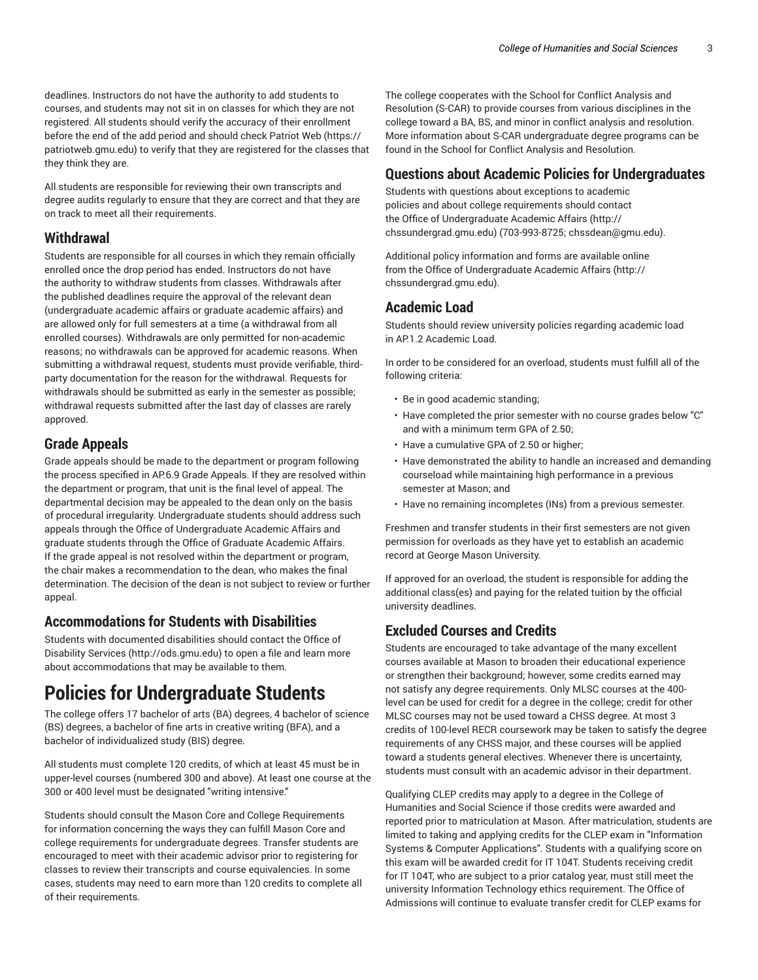deadlines. Instructors do not have the authority to add students to courses, and students may not sit in on classes for which they are not registered. All students should verify the accuracy of their enrollment before the end of the add period and should check Patriot Web (https:// patriotweb.gmu.edu) to verify that they are registered for the classes that they think they are.

All students are responsible for reviewing their own transcripts and degree audits regularly to ensure that they are correct and that they are on track to meet all their requirements.

#### **Withdrawal**

Students are responsible for all courses in which they remain officially enrolled once the drop period has ended. Instructors do not have the authority to withdraw students from classes. Withdrawals after the published deadlines require the approval of the relevant dean (undergraduate academic affairs or graduate academic affairs) and are allowed only for full semesters at a time (a withdrawal from all enrolled courses). Withdrawals are only permitted for non-academic reasons; no withdrawals can be approved for academic reasons. When submitting a withdrawal request, students must provide verifiable, thirdparty documentation for the reason for the withdrawal. Requests for withdrawals should be submitted as early in the semester as possible; withdrawal requests submitted after the last day of classes are rarely approved.

#### **Grade Appeals**

Grade appeals should be made to the department or program following the process specified in AP.6.9 Grade Appeals. If they are resolved within the department or program, that unit is the final level of appeal. The departmental decision may be appealed to the dean only on the basis of procedural irregularity. Undergraduate students should address such appeals through the Office of Undergraduate Academic Affairs and graduate students through the Office of Graduate Academic Affairs. If the grade appeal is not resolved within the department or program, the chair makes a recommendation to the dean, who makes the final determination. The decision of the dean is not subject to review or further appeal.

#### **Accommodations for Students with Disabilities**

Students with documented disabilities should contact the Office of Disability Services (http://ods.gmu.edu) to open a file and learn more about accommodations that may be available to them.

# **Policies for Undergraduate Students**

The college offers 17 bachelor of arts (BA) degrees, 4 bachelor of science (BS) degrees, a bachelor of fine arts in creative writing (BFA), and a bachelor of individualized study (BIS) degree.

All students must complete 120 credits, of which at least 45 must be in upper-level courses (numbered 300 and above). At least one course at the 300 or 400 level must be designated "writing intensive."

Students should consult the Mason Core and College Requirements for information concerning the ways they can fulfill Mason Core and college requirements for undergraduate degrees. Transfer students are encouraged to meet with their academic advisor prior to registering for classes to review their transcripts and course equivalencies. In some cases, students may need to earn more than 120 credits to complete all of their requirements.

The college cooperates with the School for Conflict Analysis and Resolution (S-CAR) to provide courses from various disciplines in the college toward a BA, BS, and minor in conflict analysis and resolution. More information about S-CAR undergraduate degree programs can be found in the School for Conflict Analysis and Resolution.

#### **Questions about Academic Policies for Undergraduates**

Students with questions about exceptions to academic policies and about college requirements should contact the Office of Undergraduate Academic Affairs (http:// chssundergrad.gmu.edu) (703-993-8725; chssdean@gmu.edu).

Additional policy information and forms are available online from the Office of Undergraduate Academic Affairs (http:// chssundergrad.gmu.edu).

#### **Academic Load**

Students should review university policies regarding academic load in AP.1.2 Academic Load.

In order to be considered for an overload, students must fulfill all of the following criteria:

- Be in good academic standing;
- Have completed the prior semester with no course grades below "C" and with a minimum term GPA of 2.50;
- Have a cumulative GPA of 2.50 or higher;
- Have demonstrated the ability to handle an increased and demanding courseload while maintaining high performance in a previous semester at Mason; and
- Have no remaining incompletes (INs) from a previous semester.

Freshmen and transfer students in their first semesters are not given permission for overloads as they have yet to establish an academic record at George Mason University.

If approved for an overload, the student is responsible for adding the additional class(es) and paying for the related tuition by the official university deadlines.

#### **Excluded Courses and Credits**

Students are encouraged to take advantage of the many excellent courses available at Mason to broaden their educational experience or strengthen their background; however, some credits earned may not satisfy any degree requirements. Only MLSC courses at the 400 level can be used for credit for a degree in the college; credit for other MLSC courses may not be used toward a CHSS degree. At most 3 credits of 100-level RECR coursework may be taken to satisfy the degree requirements of any CHSS major, and these courses will be applied toward a students general electives. Whenever there is uncertainty, students must consult with an academic advisor in their department.

Qualifying CLEP credits may apply to a degree in the College of Humanities and Social Science if those credits were awarded and reported prior to matriculation at Mason. After matriculation, students are limited to taking and applying credits for the CLEP exam in "Information Systems & Computer Applications". Students with a qualifying score on this exam will be awarded credit for IT 104T. Students receiving credit for IT 104T, who are subject to a prior catalog year, must still meet the university Information Technology ethics requirement. The Office of Admissions will continue to evaluate transfer credit for CLEP exams for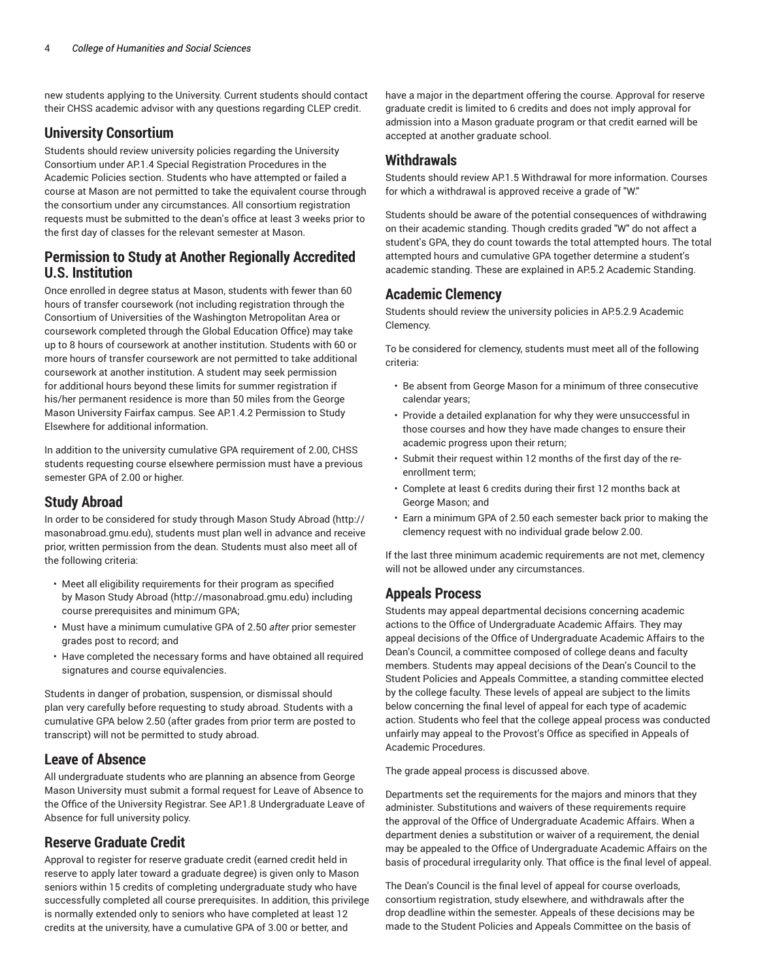new students applying to the University. Current students should contact their CHSS academic advisor with any questions regarding CLEP credit.

#### **University Consortium**

Students should review university policies regarding the University Consortium under AP.1.4 Special Registration Procedures in the Academic Policies section. Students who have attempted or failed a course at Mason are not permitted to take the equivalent course through the consortium under any circumstances. All consortium registration requests must be submitted to the dean's office at least 3 weeks prior to the first day of classes for the relevant semester at Mason.

#### **Permission to Study at Another Regionally Accredited U.S. Institution**

Once enrolled in degree status at Mason, students with fewer than 60 hours of transfer coursework (not including registration through the Consortium of Universities of the Washington Metropolitan Area or coursework completed through the Global Education Office) may take up to 8 hours of coursework at another institution. Students with 60 or more hours of transfer coursework are not permitted to take additional coursework at another institution. A student may seek permission for additional hours beyond these limits for summer registration if his/her permanent residence is more than 50 miles from the George Mason University Fairfax campus. See AP.1.4.2 Permission to Study Elsewhere for additional information.

In addition to the university cumulative GPA requirement of 2.00, CHSS students requesting course elsewhere permission must have a previous semester GPA of 2.00 or higher.

#### **Study Abroad**

In order to be considered for study through Mason Study Abroad (http:// masonabroad.gmu.edu), students must plan well in advance and receive prior, written permission from the dean. Students must also meet all of the following criteria:

- Meet all eligibility requirements for their program as specified by Mason Study Abroad (http://masonabroad.gmu.edu) including course prerequisites and minimum GPA;
- Must have a minimum cumulative GPA of 2.50 *after* prior semester grades post to record; and
- Have completed the necessary forms and have obtained all required signatures and course equivalencies.

Students in danger of probation, suspension, or dismissal should plan very carefully before requesting to study abroad. Students with a cumulative GPA below 2.50 (after grades from prior term are posted to transcript) will not be permitted to study abroad.

#### **Leave of Absence**

All undergraduate students who are planning an absence from George Mason University must submit a formal request for Leave of Absence to the Office of the University Registrar. See AP.1.8 Undergraduate Leave of Absence for full university policy.

#### **Reserve Graduate Credit**

Approval to register for reserve graduate credit (earned credit held in reserve to apply later toward a graduate degree) is given only to Mason seniors within 15 credits of completing undergraduate study who have successfully completed all course prerequisites. In addition, this privilege is normally extended only to seniors who have completed at least 12 credits at the university, have a cumulative GPA of 3.00 or better, and

have a major in the department offering the course. Approval for reserve graduate credit is limited to 6 credits and does not imply approval for admission into a Mason graduate program or that credit earned will be accepted at another graduate school.

#### **Withdrawals**

Students should review AP.1.5 Withdrawal for more information. Courses for which a withdrawal is approved receive a grade of "W."

Students should be aware of the potential consequences of withdrawing on their academic standing. Though credits graded "W" do not affect a student's GPA, they do count towards the total attempted hours. The total attempted hours and cumulative GPA together determine a student's academic standing. These are explained in AP.5.2 Academic Standing.

#### **Academic Clemency**

Students should review the university policies in AP.5.2.9 Academic Clemency.

To be considered for clemency, students must meet all of the following criteria:

- Be absent from George Mason for a minimum of three consecutive calendar years;
- Provide a detailed explanation for why they were unsuccessful in those courses and how they have made changes to ensure their academic progress upon their return;
- Submit their request within 12 months of the first day of the reenrollment term;
- Complete at least 6 credits during their first 12 months back at George Mason; and
- Earn a minimum GPA of 2.50 each semester back prior to making the clemency request with no individual grade below 2.00.

If the last three minimum academic requirements are not met, clemency will not be allowed under any circumstances.

#### **Appeals Process**

Students may appeal departmental decisions concerning academic actions to the Office of Undergraduate Academic Affairs. They may appeal decisions of the Office of Undergraduate Academic Affairs to the Dean's Council, a committee composed of college deans and faculty members. Students may appeal decisions of the Dean's Council to the Student Policies and Appeals Committee, a standing committee elected by the college faculty. These levels of appeal are subject to the limits below concerning the final level of appeal for each type of academic action. Students who feel that the college appeal process was conducted unfairly may appeal to the Provost's Office as specified in Appeals of Academic Procedures.

The grade appeal process is discussed above.

Departments set the requirements for the majors and minors that they administer. Substitutions and waivers of these requirements require the approval of the Office of Undergraduate Academic Affairs. When a department denies a substitution or waiver of a requirement, the denial may be appealed to the Office of Undergraduate Academic Affairs on the basis of procedural irregularity only. That office is the final level of appeal.

The Dean's Council is the final level of appeal for course overloads, consortium registration, study elsewhere, and withdrawals after the drop deadline within the semester. Appeals of these decisions may be made to the Student Policies and Appeals Committee on the basis of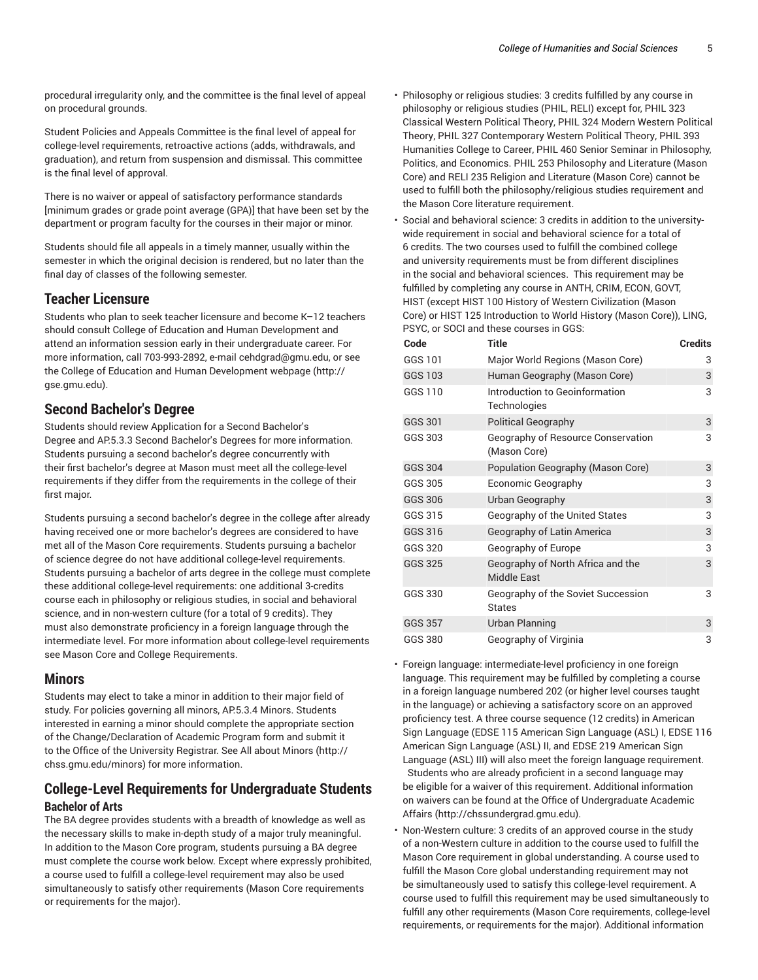procedural irregularity only, and the committee is the final level of appeal on procedural grounds.

Student Policies and Appeals Committee is the final level of appeal for college-level requirements, retroactive actions (adds, withdrawals, and graduation), and return from suspension and dismissal. This committee is the final level of approval.

There is no waiver or appeal of satisfactory performance standards [minimum grades or grade point average (GPA)] that have been set by the department or program faculty for the courses in their major or minor.

Students should file all appeals in a timely manner, usually within the semester in which the original decision is rendered, but no later than the final day of classes of the following semester.

#### **Teacher Licensure**

Students who plan to seek teacher licensure and become K–12 teachers should consult College of Education and Human Development and attend an information session early in their undergraduate career. For more information, call 703-993-2892, e-mail cehdgrad@gmu.edu, or see the College of Education and Human Development webpage (http:// gse.gmu.edu).

#### **Second Bachelor's Degree**

Students should review Application for a Second Bachelor's Degree and AP.5.3.3 Second Bachelor's Degrees for more information. Students pursuing a second bachelor's degree concurrently with their first bachelor's degree at Mason must meet all the college-level requirements if they differ from the requirements in the college of their first major.

Students pursuing a second bachelor's degree in the college after already having received one or more bachelor's degrees are considered to have met all of the Mason Core requirements. Students pursuing a bachelor of science degree do not have additional college-level requirements. Students pursuing a bachelor of arts degree in the college must complete these additional college-level requirements: one additional 3-credits course each in philosophy or religious studies, in social and behavioral science, and in non-western culture (for a total of 9 credits). They must also demonstrate proficiency in a foreign language through the intermediate level. For more information about college-level requirements see Mason Core and College Requirements.

#### **Minors**

Students may elect to take a minor in addition to their major field of study. For policies governing all minors, AP.5.3.4 Minors. Students interested in earning a minor should complete the appropriate section of the Change/Declaration of Academic Program form and submit it to the Office of the University Registrar. See All about Minors (http:// chss.gmu.edu/minors) for more information.

#### **College-Level Requirements for Undergraduate Students Bachelor of Arts**

The BA degree provides students with a breadth of knowledge as well as the necessary skills to make in-depth study of a major truly meaningful. In addition to the Mason Core program, students pursuing a BA degree must complete the course work below. Except where expressly prohibited, a course used to fulfill a college-level requirement may also be used simultaneously to satisfy other requirements (Mason Core requirements or requirements for the major).

- Philosophy or religious studies: 3 credits fulfilled by any course in philosophy or religious studies (PHIL, RELI) except for, PHIL 323 Classical Western Political Theory, PHIL 324 Modern Western Political Theory, PHIL 327 Contemporary Western Political Theory, PHIL 393 Humanities College to Career, PHIL 460 Senior Seminar in Philosophy, Politics, and Economics. PHIL 253 Philosophy and Literature (Mason Core) and RELI 235 Religion and Literature (Mason Core) cannot be used to fulfill both the philosophy/religious studies requirement and the Mason Core literature requirement.
- Social and behavioral science: 3 credits in addition to the universitywide requirement in social and behavioral science for a total of 6 credits. The two courses used to fulfill the combined college and university requirements must be from different disciplines in the social and behavioral sciences. This requirement may be fulfilled by completing any course in ANTH, CRIM, ECON, GOVT, HIST (except HIST 100 History of Western Civilization (Mason Core) or HIST 125 Introduction to World History (Mason Core)), LING, PSYC, or SOCI and these courses in GGS:

| Code           | <b>Title</b>                                            | <b>Credits</b> |
|----------------|---------------------------------------------------------|----------------|
| GGS 101        | Major World Regions (Mason Core)                        | 3              |
| <b>GGS 103</b> | Human Geography (Mason Core)                            | 3              |
| GGS 110        | Introduction to Geoinformation<br>Technologies          | 3              |
| GGS 301        | <b>Political Geography</b>                              | 3              |
| GGS 303        | Geography of Resource Conservation<br>(Mason Core)      | 3              |
| <b>GGS 304</b> | Population Geography (Mason Core)                       | 3              |
| GGS 305        | Economic Geography                                      | 3              |
| <b>GGS 306</b> | Urban Geography                                         | 3              |
| GGS 315        | Geography of the United States                          | 3              |
| GGS 316        | Geography of Latin America                              | 3              |
| GGS 320        | Geography of Europe                                     | 3              |
| GGS 325        | Geography of North Africa and the<br><b>Middle East</b> | 3              |
| GGS 330        | Geography of the Soviet Succession<br><b>States</b>     | 3              |
| <b>GGS 357</b> | <b>Urban Planning</b>                                   | 3              |
| GGS 380        | Geography of Virginia                                   | 3              |

• Foreign language: intermediate-level proficiency in one foreign language. This requirement may be fulfilled by completing a course in a foreign language numbered 202 (or higher level courses taught in the language) or achieving a satisfactory score on an approved proficiency test. A three course sequence (12 credits) in American Sign Language (EDSE 115 American Sign Language (ASL) I, EDSE 116 American Sign Language (ASL) II, and EDSE 219 American Sign Language (ASL) III) will also meet the foreign language requirement. Students who are already proficient in a second language may be eligible for a waiver of this requirement. Additional information on waivers can be found at the Office of Undergraduate Academic Affairs (http://chssundergrad.gmu.edu).

• Non-Western culture: 3 credits of an approved course in the study of a non-Western culture in addition to the course used to fulfill the Mason Core requirement in global understanding. A course used to fulfill the Mason Core global understanding requirement may not be simultaneously used to satisfy this college-level requirement. A course used to fulfill this requirement may be used simultaneously to fulfill any other requirements (Mason Core requirements, college-level requirements, or requirements for the major). Additional information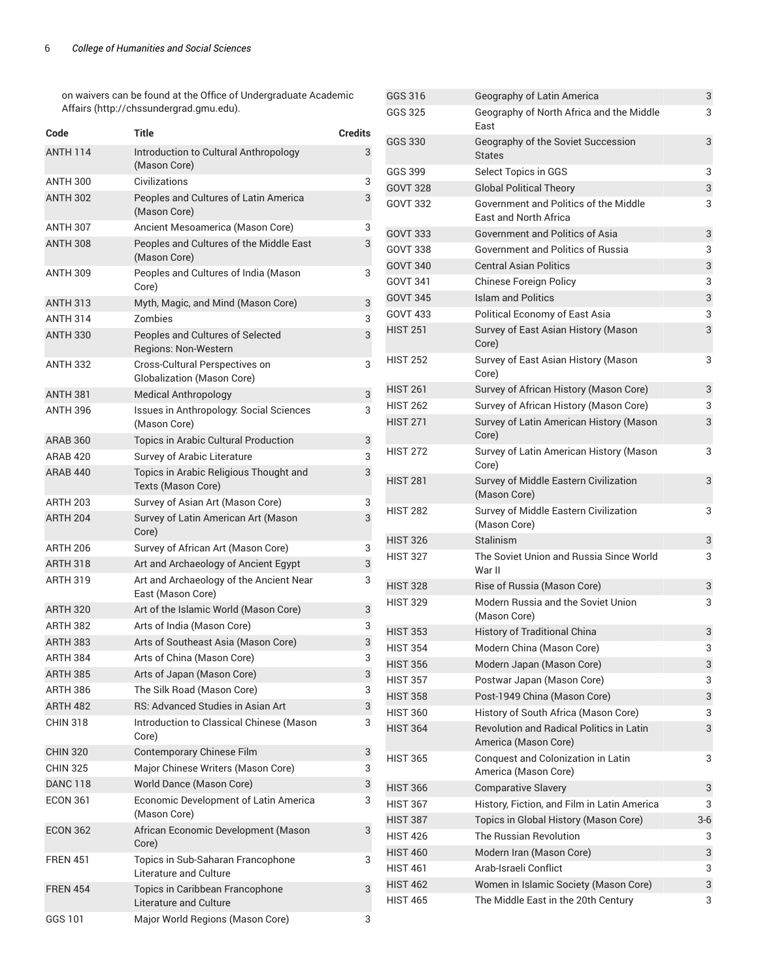on waivers can be found at the Office of Undergraduate Academic Affairs (http://chssundergrad.gmu.edu).

| Code            | Title                                                               | <b>Credits</b> |
|-----------------|---------------------------------------------------------------------|----------------|
| <b>ANTH 114</b> | Introduction to Cultural Anthropology<br>(Mason Core)               | 3              |
| <b>ANTH 300</b> | Civilizations                                                       | 3              |
| <b>ANTH 302</b> | Peoples and Cultures of Latin America<br>(Mason Core)               | 3              |
| <b>ANTH 307</b> | Ancient Mesoamerica (Mason Core)                                    | 3              |
| <b>ANTH 308</b> | Peoples and Cultures of the Middle East<br>(Mason Core)             | 3              |
| <b>ANTH 309</b> | Peoples and Cultures of India (Mason<br>Core)                       | 3              |
| <b>ANTH 313</b> | Myth, Magic, and Mind (Mason Core)                                  | 3              |
| <b>ANTH 314</b> | Zombies                                                             | 3              |
| <b>ANTH 330</b> | Peoples and Cultures of Selected<br>Regions: Non-Western            | 3              |
| <b>ANTH 332</b> | Cross-Cultural Perspectives on<br><b>Globalization (Mason Core)</b> | 3              |
| <b>ANTH 381</b> | <b>Medical Anthropology</b>                                         | 3              |
| <b>ANTH 396</b> | Issues in Anthropology: Social Sciences<br>(Mason Core)             | 3              |
| <b>ARAB 360</b> | Topics in Arabic Cultural Production                                | 3              |
| <b>ARAB 420</b> | Survey of Arabic Literature                                         | 3              |
| <b>ARAB 440</b> | Topics in Arabic Religious Thought and<br>Texts (Mason Core)        | 3              |
| <b>ARTH 203</b> | Survey of Asian Art (Mason Core)                                    | 3              |
| <b>ARTH 204</b> | Survey of Latin American Art (Mason<br>Core)                        | 3              |
| <b>ARTH 206</b> | Survey of African Art (Mason Core)                                  | 3              |
| <b>ARTH 318</b> | Art and Archaeology of Ancient Egypt                                | 3              |
| <b>ARTH 319</b> | Art and Archaeology of the Ancient Near<br>East (Mason Core)        | 3              |
| <b>ARTH 320</b> | Art of the Islamic World (Mason Core)                               | 3              |
| <b>ARTH 382</b> | Arts of India (Mason Core)                                          | 3              |
| <b>ARTH 383</b> | Arts of Southeast Asia (Mason Core)                                 | 3              |
| <b>ARTH 384</b> | Arts of China (Mason Core)                                          | 3              |
| <b>ARTH 385</b> | Arts of Japan (Mason Core)                                          | 3              |
| ARTH 386        | The Silk Road (Mason Core)                                          | 3              |
| <b>ARTH 482</b> | <b>RS: Advanced Studies in Asian Art</b>                            | 3              |
| <b>CHIN 318</b> | Introduction to Classical Chinese (Mason<br>Core)                   | 3              |
| <b>CHIN 320</b> | Contemporary Chinese Film                                           | 3              |
| <b>CHIN 325</b> | Major Chinese Writers (Mason Core)                                  | 3              |
| <b>DANC 118</b> | World Dance (Mason Core)                                            | 3              |
| <b>ECON 361</b> | Economic Development of Latin America<br>(Mason Core)               | 3              |
| <b>ECON 362</b> | African Economic Development (Mason<br>Core)                        | 3              |
| <b>FREN 451</b> | Topics in Sub-Saharan Francophone<br>Literature and Culture         | 3              |
| <b>FREN 454</b> | Topics in Caribbean Francophone<br>Literature and Culture           | 3              |
| GGS 101         | Major World Regions (Mason Core)                                    | 3              |

| GGS 316         | Geography of Latin America                                              | 3     |
|-----------------|-------------------------------------------------------------------------|-------|
| GGS 325         | Geography of North Africa and the Middle<br>East                        | 3     |
| <b>GGS 330</b>  | Geography of the Soviet Succession<br><b>States</b>                     | 3     |
| GGS 399         | Select Topics in GGS                                                    | 3     |
| <b>GOVT 328</b> | <b>Global Political Theory</b>                                          | 3     |
| <b>GOVT 332</b> | Government and Politics of the Middle<br><b>Fast and North Africa</b>   | 3     |
| <b>GOVT 333</b> | Government and Politics of Asia                                         | 3     |
| <b>GOVT 338</b> | Government and Politics of Russia                                       | 3     |
| <b>GOVT 340</b> | <b>Central Asian Politics</b>                                           | 3     |
| GOVT 341        | Chinese Foreign Policy                                                  | 3     |
| <b>GOVT 345</b> | <b>Islam and Politics</b>                                               | 3     |
| <b>GOVT 433</b> | Political Economy of East Asia                                          | 3     |
| <b>HIST 251</b> | Survey of East Asian History (Mason<br>Core)                            | 3     |
| <b>HIST 252</b> | Survey of East Asian History (Mason<br>Core)                            | 3     |
| <b>HIST 261</b> | Survey of African History (Mason Core)                                  | 3     |
| <b>HIST 262</b> | Survey of African History (Mason Core)                                  | 3     |
| <b>HIST 271</b> | Survey of Latin American History (Mason<br>Core)                        | 3     |
| <b>HIST 272</b> | Survey of Latin American History (Mason<br>Core)                        | 3     |
| <b>HIST 281</b> | Survey of Middle Eastern Civilization<br>(Mason Core)                   | 3     |
| <b>HIST 282</b> | Survey of Middle Eastern Civilization<br>(Mason Core)                   | 3     |
| <b>HIST 326</b> | <b>Stalinism</b>                                                        | 3     |
| <b>HIST 327</b> | The Soviet Union and Russia Since World<br>War II                       | 3     |
| <b>HIST 328</b> | Rise of Russia (Mason Core)                                             | 3     |
| <b>HIST 329</b> | Modern Russia and the Soviet Union<br>(Mason Core)                      | 3     |
| <b>HIST 353</b> | <b>History of Traditional China</b>                                     | 3     |
| <b>HIST 354</b> | Modern China (Mason Core)                                               | 3     |
| <b>HIST 356</b> | Modern Japan (Mason Core)                                               | 3     |
| <b>HIST 357</b> | Postwar Japan (Mason Core)                                              | 3     |
| <b>HIST 358</b> | Post-1949 China (Mason Core)                                            | 3     |
| <b>HIST 360</b> | History of South Africa (Mason Core)                                    | 3     |
| <b>HIST 364</b> | <b>Revolution and Radical Politics in Latin</b><br>America (Mason Core) | 3     |
| <b>HIST 365</b> | Conquest and Colonization in Latin<br>America (Mason Core)              | 3     |
| <b>HIST 366</b> | <b>Comparative Slavery</b>                                              | 3     |
| <b>HIST 367</b> | History, Fiction, and Film in Latin America                             | 3     |
| <b>HIST 387</b> | Topics in Global History (Mason Core)                                   | $3-6$ |
| <b>HIST 426</b> | The Russian Revolution                                                  | 3     |
| <b>HIST 460</b> | Modern Iran (Mason Core)                                                | 3     |
| <b>HIST 461</b> | Arab-Israeli Conflict                                                   | 3     |
| <b>HIST 462</b> | Women in Islamic Society (Mason Core)                                   | 3     |
| <b>HIST 465</b> | The Middle East in the 20th Century                                     | 3     |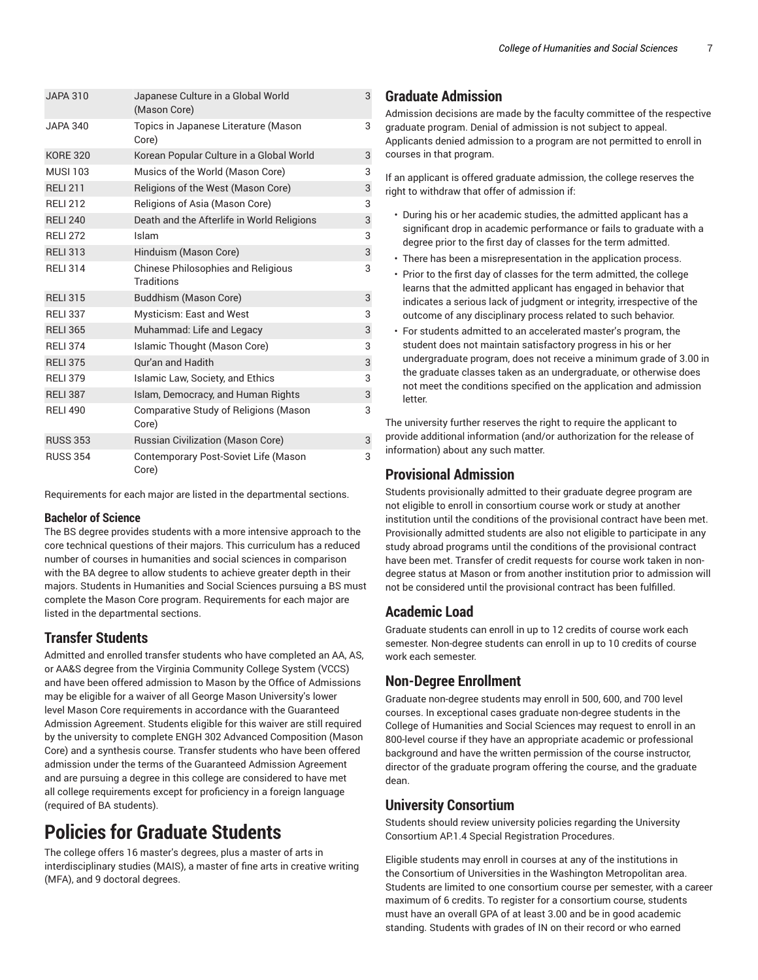| <b>JAPA 310</b> | Japanese Culture in a Global World<br>(Mason Core)      | 3 |
|-----------------|---------------------------------------------------------|---|
| <b>JAPA 340</b> | Topics in Japanese Literature (Mason<br>Core)           | 3 |
| <b>KORE 320</b> | Korean Popular Culture in a Global World                | 3 |
| <b>MUSI 103</b> | Musics of the World (Mason Core)                        | 3 |
| <b>RELI 211</b> | Religions of the West (Mason Core)                      | 3 |
| <b>RELI 212</b> | Religions of Asia (Mason Core)                          | 3 |
| <b>RELI 240</b> | Death and the Afterlife in World Religions              | 3 |
| <b>RELI 272</b> | Islam                                                   | 3 |
| <b>RELI313</b>  | Hinduism (Mason Core)                                   | 3 |
| <b>RELI 314</b> | <b>Chinese Philosophies and Religious</b><br>Traditions | 3 |
| <b>RELI 315</b> | Buddhism (Mason Core)                                   | 3 |
| <b>RELI 337</b> | Mysticism: East and West                                | 3 |
| <b>RELI 365</b> | Muhammad: Life and Legacy                               | 3 |
| <b>RELI 374</b> | Islamic Thought (Mason Core)                            | 3 |
| <b>RELI 375</b> | <b>Qur'an and Hadith</b>                                | 3 |
| <b>RELI 379</b> | Islamic Law, Society, and Ethics                        | 3 |
| <b>RELI 387</b> | Islam, Democracy, and Human Rights                      | 3 |
| <b>RELI 490</b> | <b>Comparative Study of Religions (Mason</b><br>Core)   | 3 |
| <b>RUSS 353</b> | Russian Civilization (Mason Core)                       | 3 |
| <b>RUSS 354</b> | Contemporary Post-Soviet Life (Mason<br>Core)           | 3 |

Requirements for each major are listed in the departmental sections.

#### **Bachelor of Science**

The BS degree provides students with a more intensive approach to the core technical questions of their majors. This curriculum has a reduced number of courses in humanities and social sciences in comparison with the BA degree to allow students to achieve greater depth in their majors. Students in Humanities and Social Sciences pursuing a BS must complete the Mason Core program. Requirements for each major are listed in the departmental sections.

#### **Transfer Students**

Admitted and enrolled transfer students who have completed an AA, AS, or AA&S degree from the Virginia Community College System (VCCS) and have been offered admission to Mason by the Office of Admissions may be eligible for a waiver of all George Mason University's lower level Mason Core requirements in accordance with the Guaranteed Admission Agreement. Students eligible for this waiver are still required by the university to complete ENGH 302 Advanced Composition (Mason Core) and a synthesis course. Transfer students who have been offered admission under the terms of the Guaranteed Admission Agreement and are pursuing a degree in this college are considered to have met all college requirements except for proficiency in a foreign language (required of BA students).

# **Policies for Graduate Students**

The college offers 16 master's degrees, plus a master of arts in interdisciplinary studies (MAIS), a master of fine arts in creative writing (MFA), and 9 doctoral degrees.

### **Graduate Admission**

Admission decisions are made by the faculty committee of the respective graduate program. Denial of admission is not subject to appeal. Applicants denied admission to a program are not permitted to enroll in courses in that program.

If an applicant is offered graduate admission, the college reserves the right to withdraw that offer of admission if:

- During his or her academic studies, the admitted applicant has a significant drop in academic performance or fails to graduate with a degree prior to the first day of classes for the term admitted.
- There has been a misrepresentation in the application process.
- Prior to the first day of classes for the term admitted, the college learns that the admitted applicant has engaged in behavior that indicates a serious lack of judgment or integrity, irrespective of the outcome of any disciplinary process related to such behavior.
- For students admitted to an accelerated master's program, the student does not maintain satisfactory progress in his or her undergraduate program, does not receive a minimum grade of 3.00 in the graduate classes taken as an undergraduate, or otherwise does not meet the conditions specified on the application and admission letter.

The university further reserves the right to require the applicant to provide additional information (and/or authorization for the release of information) about any such matter.

#### **Provisional Admission**

Students provisionally admitted to their graduate degree program are not eligible to enroll in consortium course work or study at another institution until the conditions of the provisional contract have been met. Provisionally admitted students are also not eligible to participate in any study abroad programs until the conditions of the provisional contract have been met. Transfer of credit requests for course work taken in nondegree status at Mason or from another institution prior to admission will not be considered until the provisional contract has been fulfilled.

#### **Academic Load**

Graduate students can enroll in up to 12 credits of course work each semester. Non-degree students can enroll in up to 10 credits of course work each semester.

#### **Non-Degree Enrollment**

Graduate non-degree students may enroll in 500, 600, and 700 level courses. In exceptional cases graduate non-degree students in the College of Humanities and Social Sciences may request to enroll in an 800-level course if they have an appropriate academic or professional background and have the written permission of the course instructor, director of the graduate program offering the course, and the graduate dean.

### **University Consortium**

Students should review university policies regarding the University Consortium AP.1.4 Special Registration Procedures.

Eligible students may enroll in courses at any of the institutions in the Consortium of Universities in the Washington Metropolitan area. Students are limited to one consortium course per semester, with a career maximum of 6 credits. To register for a consortium course, students must have an overall GPA of at least 3.00 and be in good academic standing. Students with grades of IN on their record or who earned